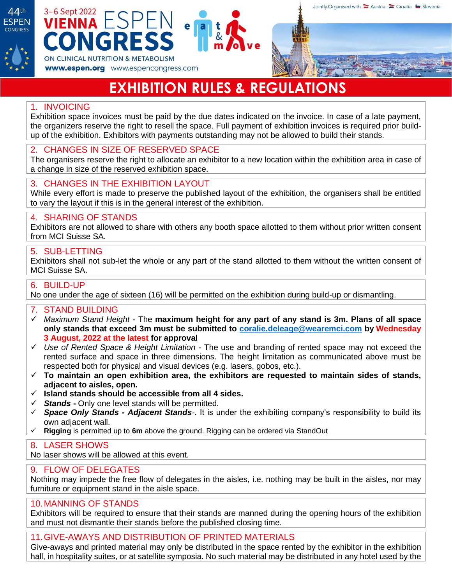

# 3-6 Sept 2022 **ESPEN** ONGR ON CLINICAL NUTRITION & METABOLISM

# **EXHIBITION RULES & REGULATIONS**

# 1. INVOICING

Exhibition space invoices must be paid by the due dates indicated on the invoice. In case of a late payment, the organizers reserve the right to resell the space. Full payment of exhibition invoices is required prior buildup of the exhibition. Exhibitors with payments outstanding may not be allowed to build their stands.

### 2. CHANGES IN SIZE OF RESERVED SPACE

www.espen.org www.espencongress.com

The organisers reserve the right to allocate an exhibitor to a new location within the exhibition area in case of a change in size of the reserved exhibition space.

# 3. CHANGES IN THE EXHIBITION LAYOUT

While every effort is made to preserve the published layout of the exhibition, the organisers shall be entitled to vary the layout if this is in the general interest of the exhibition.

### 4. SHARING OF STANDS

Exhibitors are not allowed to share with others any booth space allotted to them without prior written consent from MCI Suisse SA.

### 5. SUB-LETTING

Exhibitors shall not sub-let the whole or any part of the stand allotted to them without the written consent of MCI Suisse SA.

### 6. BUILD-UP

No one under the age of sixteen (16) will be permitted on the exhibition during build-up or dismantling.

# 7. STAND BUILDING

- ✓ *Maximum Stand Height* The **maximum height for any part of any stand is 3m. Plans of all space only stands that exceed 3m must be submitted to [coralie.deleage@wearemci.com](mailto:coralie.deleage@wearemci.com) by Wednesday 3 August, 2022 at the latest for approval**
- ✓ *Use of Rented Space & Height Limitation -* The use and branding of rented space may not exceed the rented surface and space in three dimensions. The height limitation as communicated above must be respected both for physical and visual devices (e.g. lasers, gobos, etc.).
- ✓ **To maintain an open exhibition area, the exhibitors are requested to maintain sides of stands, adjacent to aisles, open.**
- ✓ **Island stands should be accessible from all 4 sides.**
- ✓ *Stands* **-** Only one level stands will be permitted.
- ✓ *Space Only Stands - Adjacent Stands-*. It is under the exhibiting company's responsibility to build its own adjacent wall.
- ✓ **Rigging** is permitted up to **6m** above the ground. Rigging can be ordered via StandOut

### 8. LASER SHOWS

No laser shows will be allowed at this event.

### 9. FLOW OF DELEGATES

Nothing may impede the free flow of delegates in the aisles, i.e. nothing may be built in the aisles, nor may furniture or equipment stand in the aisle space.

# 10.MANNING OF STANDS

Exhibitors will be required to ensure that their stands are manned during the opening hours of the exhibition and must not dismantle their stands before the published closing time.

### 11.GIVE-AWAYS AND DISTRIBUTION OF PRINTED MATERIALS

Give-aways and printed material may only be distributed in the space rented by the exhibitor in the exhibition hall, in hospitality suites, or at satellite symposia. No such material may be distributed in any hotel used by the